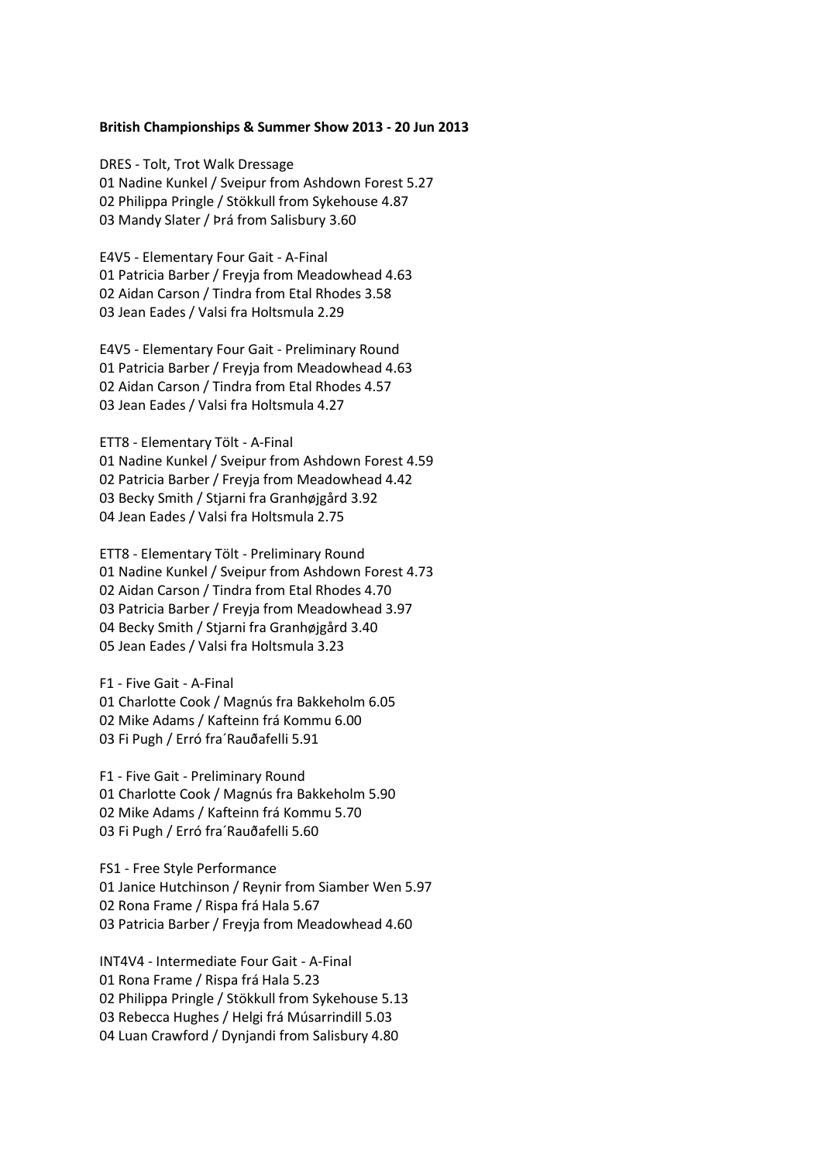## **British Championships & Summer Show 2013 - 20 Jun 2013**

DRES - Tolt, Trot Walk Dressage 01 Nadine Kunkel / Sveipur from Ashdown Forest 5.27 02 Philippa Pringle / Stökkull from Sykehouse 4.87 03 Mandy Slater / Þrá from Salisbury 3.60

E4V5 - Elementary Four Gait - A-Final 01 Patricia Barber / Freyja from Meadowhead 4.63 02 Aidan Carson / Tindra from Etal Rhodes 3.58 03 Jean Eades / Valsi fra Holtsmula 2.29

E4V5 - Elementary Four Gait - Preliminary Round 01 Patricia Barber / Freyja from Meadowhead 4.63 02 Aidan Carson / Tindra from Etal Rhodes 4.57 03 Jean Eades / Valsi fra Holtsmula 4.27

ETT8 - Elementary Tölt - A-Final 01 Nadine Kunkel / Sveipur from Ashdown Forest 4.59 02 Patricia Barber / Freyja from Meadowhead 4.42 03 Becky Smith / Stjarni fra Granhøjgård 3.92 04 Jean Eades / Valsi fra Holtsmula 2.75

ETT8 - Elementary Tölt - Preliminary Round 01 Nadine Kunkel / Sveipur from Ashdown Forest 4.73 02 Aidan Carson / Tindra from Etal Rhodes 4.70 03 Patricia Barber / Freyja from Meadowhead 3.97 04 Becky Smith / Stjarni fra Granhøjgård 3.40 05 Jean Eades / Valsi fra Holtsmula 3.23

F1 - Five Gait - A-Final 01 Charlotte Cook / Magnús fra Bakkeholm 6.05 02 Mike Adams / Kafteinn frá Kommu 6.00 03 Fi Pugh / Erró fra´Rauðafelli 5.91

F1 - Five Gait - Preliminary Round 01 Charlotte Cook / Magnús fra Bakkeholm 5.90 02 Mike Adams / Kafteinn frá Kommu 5.70 03 Fi Pugh / Erró fra´Rauðafelli 5.60

FS1 - Free Style Performance Janice Hutchinson / Reynir from Siamber Wen 5.97 Rona Frame / Rispa frá Hala 5.67 Patricia Barber / Freyja from Meadowhead 4.60

INT4V4 - Intermediate Four Gait - A-Final Rona Frame / Rispa frá Hala 5.23 Philippa Pringle / Stökkull from Sykehouse 5.13 Rebecca Hughes / Helgi frá Músarrindill 5.03 Luan Crawford / Dynjandi from Salisbury 4.80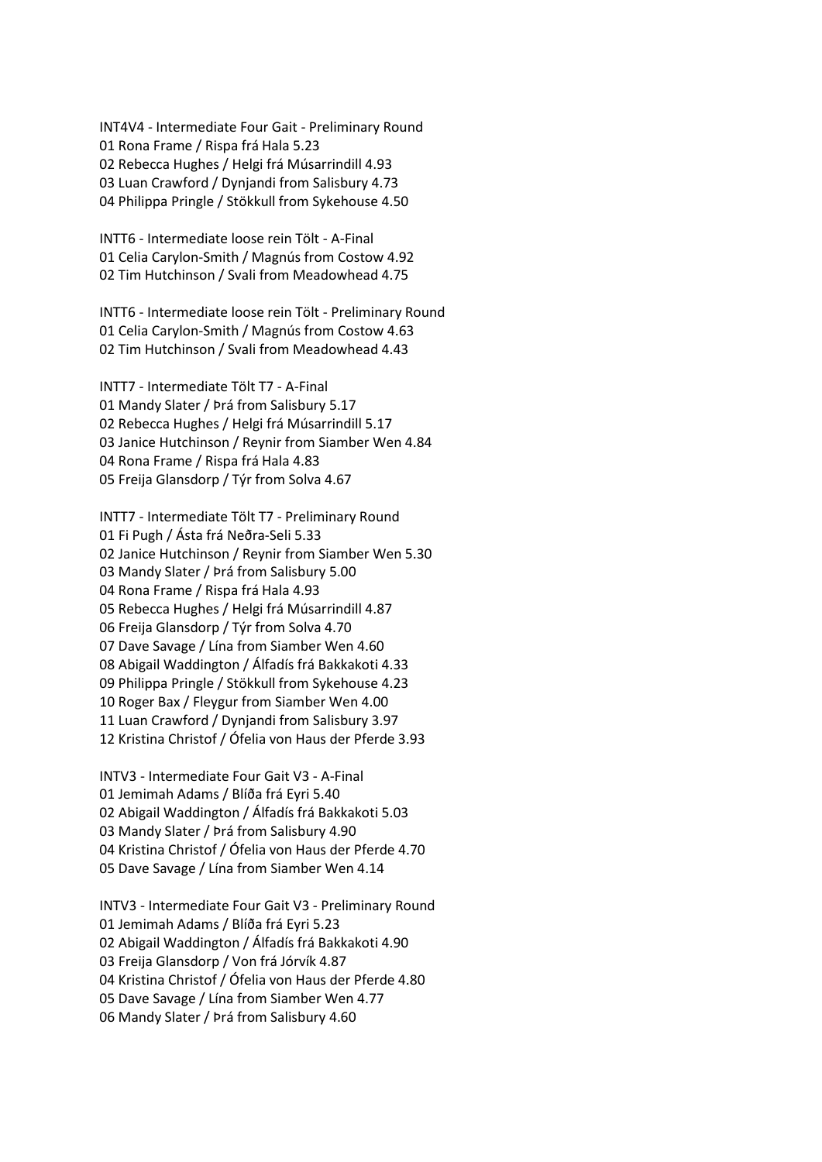INT4V4 - Intermediate Four Gait - Preliminary Round Rona Frame / Rispa frá Hala 5.23 Rebecca Hughes / Helgi frá Músarrindill 4.93 Luan Crawford / Dynjandi from Salisbury 4.73 Philippa Pringle / Stökkull from Sykehouse 4.50

INTT6 - Intermediate loose rein Tölt - A-Final 01 Celia Carylon-Smith / Magnús from Costow 4.92 02 Tim Hutchinson / Svali from Meadowhead 4.75

INTT6 - Intermediate loose rein Tölt - Preliminary Round 01 Celia Carylon-Smith / Magnús from Costow 4.63 02 Tim Hutchinson / Svali from Meadowhead 4.43

INTT7 - Intermediate Tölt T7 - A-Final Mandy Slater / Þrá from Salisbury 5.17 Rebecca Hughes / Helgi frá Músarrindill 5.17 Janice Hutchinson / Reynir from Siamber Wen 4.84 Rona Frame / Rispa frá Hala 4.83 Freija Glansdorp / Týr from Solva 4.67

INTT7 - Intermediate Tölt T7 - Preliminary Round 01 Fi Pugh / Ásta frá Neðra-Seli 5.33 02 Janice Hutchinson / Reynir from Siamber Wen 5.30 03 Mandy Slater / Þrá from Salisbury 5.00 04 Rona Frame / Rispa frá Hala 4.93 05 Rebecca Hughes / Helgi frá Músarrindill 4.87 06 Freija Glansdorp / Týr from Solva 4.70 07 Dave Savage / Lína from Siamber Wen 4.60 08 Abigail Waddington / Álfadís frá Bakkakoti 4.33 09 Philippa Pringle / Stökkull from Sykehouse 4.23 10 Roger Bax / Fleygur from Siamber Wen 4.00 11 Luan Crawford / Dynjandi from Salisbury 3.97 12 Kristina Christof / Ófelia von Haus der Pferde 3.93

INTV3 - Intermediate Four Gait V3 - A-Final 01 Jemimah Adams / Blíða frá Eyri 5.40 02 Abigail Waddington / Álfadís frá Bakkakoti 5.03 03 Mandy Slater / Þrá from Salisbury 4.90 04 Kristina Christof / Ófelia von Haus der Pferde 4.70 05 Dave Savage / Lína from Siamber Wen 4.14

INTV3 - Intermediate Four Gait V3 - Preliminary Round 01 Jemimah Adams / Blíða frá Eyri 5.23 02 Abigail Waddington / Álfadís frá Bakkakoti 4.90 03 Freija Glansdorp / Von frá Jórvík 4.87 04 Kristina Christof / Ófelia von Haus der Pferde 4.80 05 Dave Savage / Lína from Siamber Wen 4.77 06 Mandy Slater / Þrá from Salisbury 4.60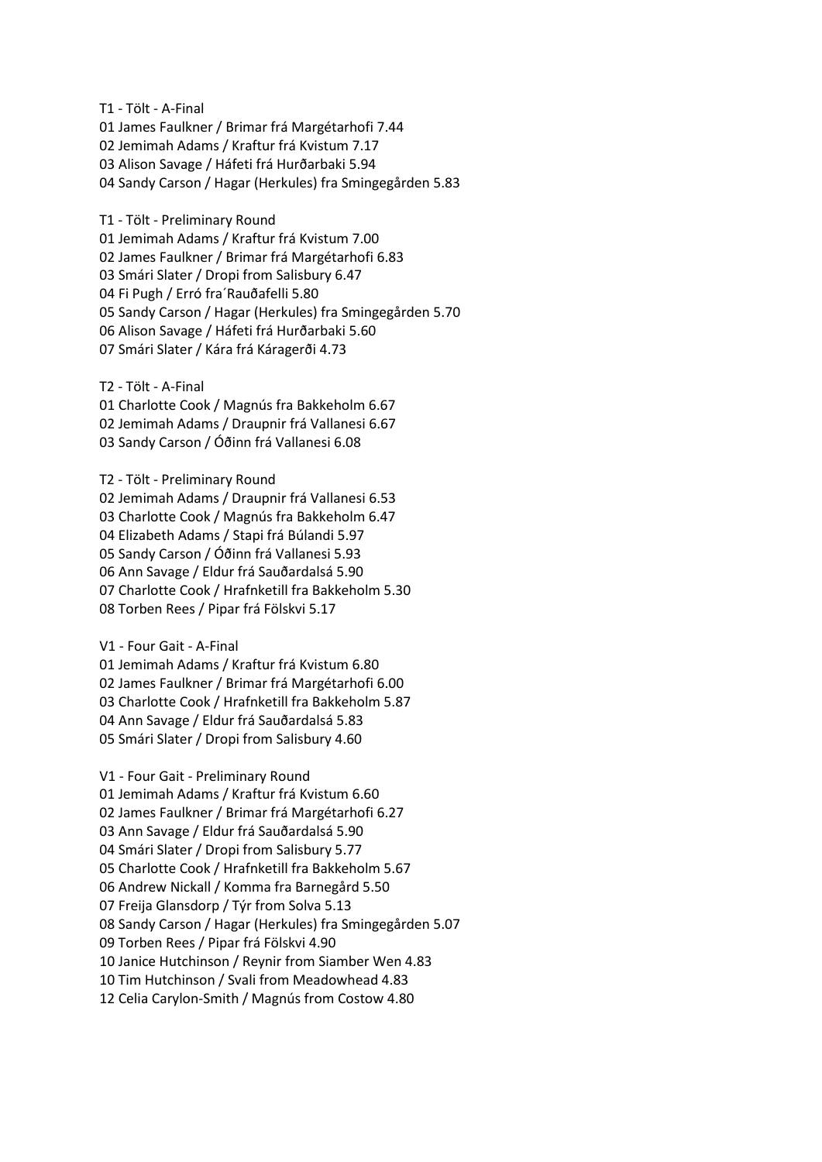T1 - Tölt - A-Final 01 James Faulkner / Brimar frá Margétarhofi 7.44 02 Jemimah Adams / Kraftur frá Kvistum 7.17 03 Alison Savage / Háfeti frá Hurðarbaki 5.94 04 Sandy Carson / Hagar (Herkules) fra Smingegården 5.83

T1 - Tölt - Preliminary Round 01 Jemimah Adams / Kraftur frá Kvistum 7.00 02 James Faulkner / Brimar frá Margétarhofi 6.83 03 Smári Slater / Dropi from Salisbury 6.47 04 Fi Pugh / Erró fra´Rauðafelli 5.80 05 Sandy Carson / Hagar (Herkules) fra Smingegården 5.70 06 Alison Savage / Háfeti frá Hurðarbaki 5.60 07 Smári Slater / Kára frá Káragerði 4.73

T2 - Tölt - A-Final 01 Charlotte Cook / Magnús fra Bakkeholm 6.67 02 Jemimah Adams / Draupnir frá Vallanesi 6.67 03 Sandy Carson / Óðinn frá Vallanesi 6.08

T2 - Tölt - Preliminary Round 02 Jemimah Adams / Draupnir frá Vallanesi 6.53 03 Charlotte Cook / Magnús fra Bakkeholm 6.47 04 Elizabeth Adams / Stapi frá Búlandi 5.97 05 Sandy Carson / Óðinn frá Vallanesi 5.93 06 Ann Savage / Eldur frá Sauðardalsá 5.90 07 Charlotte Cook / Hrafnketill fra Bakkeholm 5.30 08 Torben Rees / Pipar frá Fölskvi 5.17

V1 - Four Gait - A-Final

01 Jemimah Adams / Kraftur frá Kvistum 6.80 02 James Faulkner / Brimar frá Margétarhofi 6.00 03 Charlotte Cook / Hrafnketill fra Bakkeholm 5.87 04 Ann Savage / Eldur frá Sauðardalsá 5.83 05 Smári Slater / Dropi from Salisbury 4.60

V1 - Four Gait - Preliminary Round 01 Jemimah Adams / Kraftur frá Kvistum 6.60 02 James Faulkner / Brimar frá Margétarhofi 6.27 03 Ann Savage / Eldur frá Sauðardalsá 5.90 04 Smári Slater / Dropi from Salisbury 5.77 05 Charlotte Cook / Hrafnketill fra Bakkeholm 5.67 06 Andrew Nickall / Komma fra Barnegård 5.50 07 Freija Glansdorp / Týr from Solva 5.13 08 Sandy Carson / Hagar (Herkules) fra Smingegården 5.07 09 Torben Rees / Pipar frá Fölskvi 4.90 10 Janice Hutchinson / Reynir from Siamber Wen 4.83 10 Tim Hutchinson / Svali from Meadowhead 4.83 12 Celia Carylon-Smith / Magnús from Costow 4.80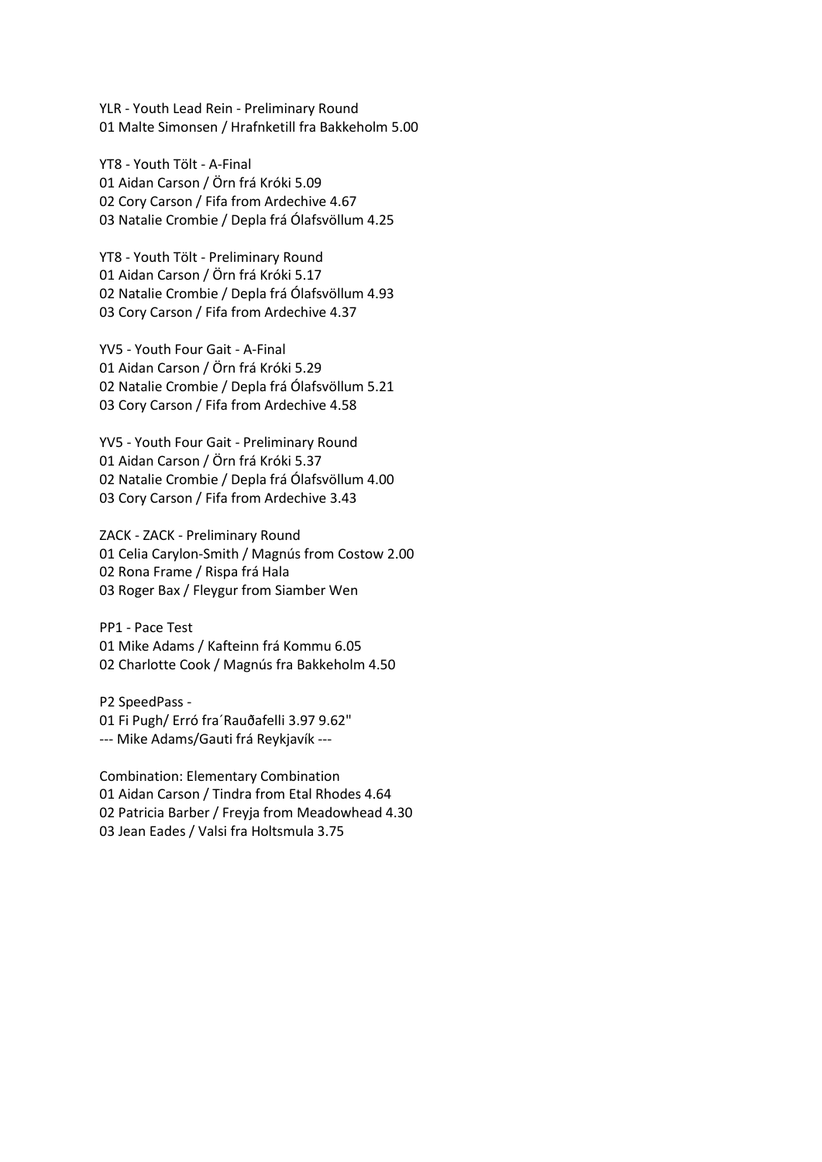YLR - Youth Lead Rein - Preliminary Round 01 Malte Simonsen / Hrafnketill fra Bakkeholm 5.00

YT8 - Youth Tölt - A-Final 01 Aidan Carson / Örn frá Króki 5.09 02 Cory Carson / Fifa from Ardechive 4.67 03 Natalie Crombie / Depla frá Ólafsvöllum 4.25

YT8 - Youth Tölt - Preliminary Round 01 Aidan Carson / Örn frá Króki 5.17 02 Natalie Crombie / Depla frá Ólafsvöllum 4.93 03 Cory Carson / Fifa from Ardechive 4.37

YV5 - Youth Four Gait - A-Final 01 Aidan Carson / Örn frá Króki 5.29 02 Natalie Crombie / Depla frá Ólafsvöllum 5.21 03 Cory Carson / Fifa from Ardechive 4.58

YV5 - Youth Four Gait - Preliminary Round 01 Aidan Carson / Örn frá Króki 5.37 02 Natalie Crombie / Depla frá Ólafsvöllum 4.00 03 Cory Carson / Fifa from Ardechive 3.43

ZACK - ZACK - Preliminary Round 01 Celia Carylon-Smith / Magnús from Costow 2.00 02 Rona Frame / Rispa frá Hala 03 Roger Bax / Fleygur from Siamber Wen

PP1 - Pace Test 01 Mike Adams / Kafteinn frá Kommu 6.05 02 Charlotte Cook / Magnús fra Bakkeholm 4.50

P2 SpeedPass - 01 Fi Pugh/ Erró fra´Rauðafelli 3.97 9.62" --- Mike Adams/Gauti frá Reykjavík ---

Combination: Elementary Combination 01 Aidan Carson / Tindra from Etal Rhodes 4.64 02 Patricia Barber / Freyja from Meadowhead 4.30 03 Jean Eades / Valsi fra Holtsmula 3.75